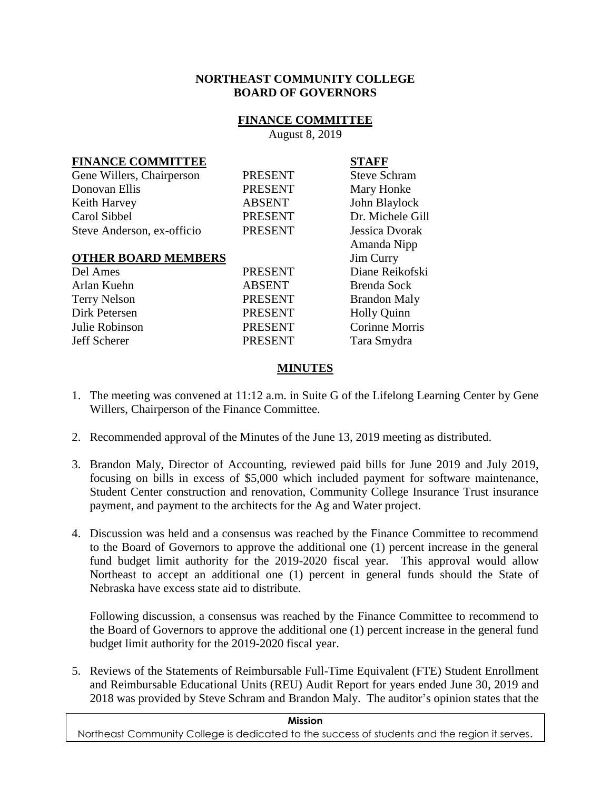### **NORTHEAST COMMUNITY COLLEGE BOARD OF GOVERNORS**

### **FINANCE COMMITTEE**

August 8, 2019

## **FINANCE COMMITTEE STAFF**

| Gene Willers, Chairperson  | <b>PRESENT</b> | <b>Steve Schram</b>   |
|----------------------------|----------------|-----------------------|
| Donovan Ellis              | <b>PRESENT</b> | Mary Honke            |
| Keith Harvey               | <b>ABSENT</b>  | John Blaylock         |
| Carol Sibbel               | <b>PRESENT</b> | Dr. Michele Gill      |
| Steve Anderson, ex-officio | <b>PRESENT</b> | Jessica Dvorak        |
|                            |                | Amanda Nipp           |
| <b>OTHER BOARD MEMBERS</b> |                | Jim Curry             |
| Del Ames                   | <b>PRESENT</b> | Diane Reikofski       |
| Arlan Kuehn                | <b>ABSENT</b>  | Brenda Sock           |
| <b>Terry Nelson</b>        | <b>PRESENT</b> | <b>Brandon Maly</b>   |
| Dirk Petersen              | <b>PRESENT</b> | <b>Holly Quinn</b>    |
| Julie Robinson             | <b>PRESENT</b> | <b>Corinne Morris</b> |
| Jeff Scherer               | <b>PRESENT</b> | Tara Smydra           |

# **MINUTES**

- 1. The meeting was convened at 11:12 a.m. in Suite G of the Lifelong Learning Center by Gene Willers, Chairperson of the Finance Committee.
- 2. Recommended approval of the Minutes of the June 13, 2019 meeting as distributed.
- 3. Brandon Maly, Director of Accounting, reviewed paid bills for June 2019 and July 2019, focusing on bills in excess of \$5,000 which included payment for software maintenance, Student Center construction and renovation, Community College Insurance Trust insurance payment, and payment to the architects for the Ag and Water project.
- 4. Discussion was held and a consensus was reached by the Finance Committee to recommend to the Board of Governors to approve the additional one (1) percent increase in the general fund budget limit authority for the 2019-2020 fiscal year. This approval would allow Northeast to accept an additional one (1) percent in general funds should the State of Nebraska have excess state aid to distribute.

Following discussion, a consensus was reached by the Finance Committee to recommend to the Board of Governors to approve the additional one (1) percent increase in the general fund budget limit authority for the 2019-2020 fiscal year.

5. Reviews of the Statements of Reimbursable Full-Time Equivalent (FTE) Student Enrollment and Reimbursable Educational Units (REU) Audit Report for years ended June 30, 2019 and 2018 was provided by Steve Schram and Brandon Maly. The auditor's opinion states that the

### **Mission**

Northeast Community College is dedicated to the success of students and the region it serves.